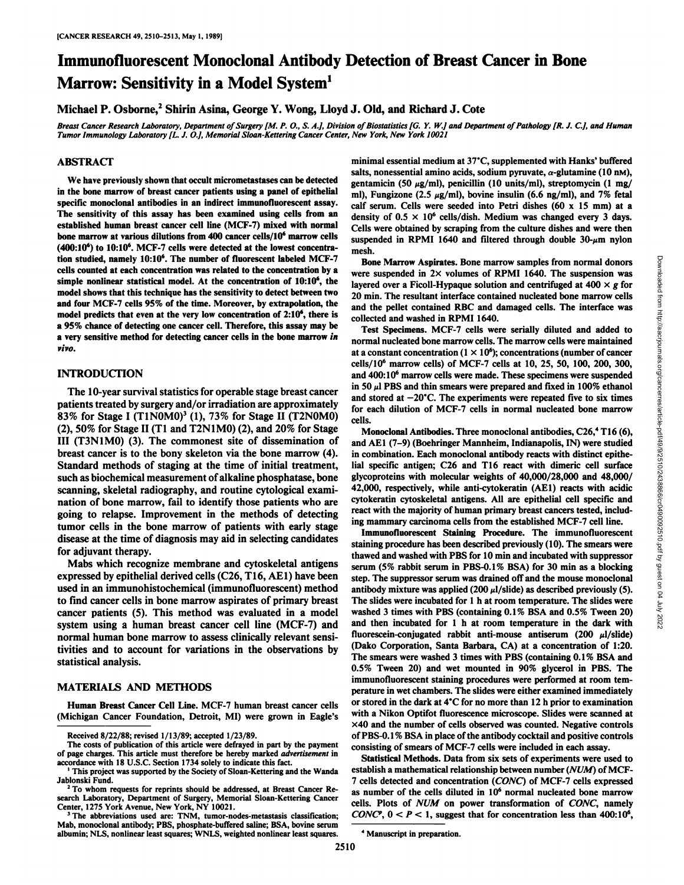# Immunofluorescent Monoclonal Antibody Detection of Breast Cancer in Bone Marrow: Sensitivity in a Model System<sup>1</sup>

Michael P. Osborne,<sup>2</sup> Shirin Asina, George Y. Wong, Lloyd J. Old, and Richard J. Cote

Breast Cancer Research Laboratory, Department of Surgery [M. P. O., S. A.], Division of Biostatistics [G. Y. W.] and Department of Pathology [R. J. C.], and Human *Tumor Immunology Laboratory [L. J. O.], Memorial Sloan-Kettering Cancer Center, New York, New York 10021*

#### ABSTRACT

We have previously shown that occult micrometastases can be detected in the bone marrow of breast cancer patients using a panel of epithelial The sensitivity of this assay has been examined using cells from an established human breast cancer cell line (MCF-7) mixed with normal bone marrow at various dilutions from 400 cancer cells/106 marrow cells  $(400:10<sup>6</sup>)$  to  $10:10<sup>6</sup>$ . MCF-7 cells were detected at the lowest concentration studied, namely 10:10<sup>6</sup>. The number of fluorescent labeled MCF-7 cells counted at each concentration was related to the concentration by a simple nonlinear statistical model. At the concentration of 10:10<sup>6</sup>, the model shows that this technique has the sensitivity to detect between two and four MCF-7 cells 95% of the time. Moreover, by extrapolation, the model predicts that even at the very low concentration of  $2:10<sup>6</sup>$ , there is a 95% chance of detecting one cancer cell. Therefore, this assay may be a very sensitive method for detecting cancer cells in the bone marrow in *vivo.*

## INTRODUCTION

The 10-year survival statistics for operable stage breast cancer patients treated by surgery and/or irradiation are approximately 83% for Stage I  $(T1N0M0)^3$  (1), 73% for Stage II (T2N0M0) (2), 50% for Stage II (Tl and T2N1MO) (2), and 20% for Stage III (T3N1MO) (3). The commonest site of dissemination of breast cancer is to the bony skeleton via the bone marrow (4). Standard methods of staging at the time of initial treatment, such as biochemical measurement of alkaline phosphatase, bone scanning, skeletal radiography, and routine cytological exami nation of bone marrow, fail to identify those patients who are going to relapse. Improvement in the methods of detecting tumor cells in the bone marrow of patients with early stage disease at the time of diagnosis may aid in selecting candidates for adjuvant therapy.

Mabs which recognize membrane and cytoskeletal antigens expressed by epithelial derived cells (C26, T16, AE1) have been used in an immunohistochemical (immunofluorescent) method to find cancer cells in bone marrow aspirates of primary breast cancer patients (5). This method was evaluated in a model system using a human breast cancer cell line (MCF-7) and normal human bone marrow to assess clinically relevant sensi tivities and to account for variations in the observations by statistical analysis.

#### MATERIALS AND METHODS

Human Breast Cancer Cell Line. MCF-7 human breast cancer cells (Michigan Cancer Foundation, Detroit, MI) were grown in Eagle's

specific monoclonal antibodies in an indirect immunofluorescent assay. calf serum. Cells were seeded into Petri dishes  $(60 \times 15 \text{ mm})$  at a minimal essential medium at 37°C, supplemented with Hanks' buffered salts, nonessential amino acids, sodium pyruvate,  $\alpha$ -glutamine (10 nm), gentamicin (50  $\mu$ g/ml), penicillin (10 units/ml), streptomycin (1 mg/ ml), Fungizone (2.5  $\mu$ g/ml), bovine insulin (6.6 ng/ml), and 7% fetal density of  $0.5 \times 10^6$  cells/dish. Medium was changed every 3 days. Cells were obtained by scraping from the culture dishes and were then suspended in RPMI 1640 and filtered through double  $30-\mu m$  nylon mesh.

> were suspended in  $2 \times$  volumes of RPMI 1640. The suspension was layered over a Ficoll-Hypaque solution and centrifuged at  $400 \times g$  for 20 min. The resultant interface contained nucleated bone marrow cells and the pellet contained RBC and damaged cells. The interface was collected and washed in RPMI 1640.

> Test Specimens. MCF-7 cells were serially diluted and added to normal nucleated bone marrow cells. The marrow cells were maintained at a constant concentration  $(1 \times 10^6)$ ; concentrations (number of cancer cells/106 marrow cells) of MCF-7 cells at 10, 25, 50, 100, 200, 300, and 400:IO6 marrow cells were made. These specimens were suspended in 50  $\mu$ l PBS and thin smears were prepared and fixed in 100% ethanol and stored at  $-20^{\circ}$ C. The experiments were repeated five to six times for each dilution of MCF-7 cells in normal nucleated bone marrow cells.

> Monoclonal Antibodies. Three monoclonal antibodies, C26,<sup>4</sup> T16 (6), and AE1 (7-9) (Boehringer Mannheim, Indianapolis, IN) were studied in combination. Each monoclonal antibody reacts with distinct epithe lial specific antigen; C26 and T16 react with dimeric cell surface glycoproteins with molecular weights of 40,000/28,000 and 48,000/ 42,000, respectively, while anti-cytokeratin (AE1) reacts with acidic cytokeratin cytoskeletal antigens. All are epithelial cell specific and react with the majority of human primary breast cancers tested, includ ing mammary carcinoma cells from the established MCF-7 cell line.

Bone Marrow Aspirates. Bone marrow samples from normal donors<br>
rere suspended in 2× volumes of RPM 1640. The suspension was<br>
eyered over a Ficoll-Hypaque solution and centrifuged at 400 × g for<br>
min. The resultant interfa Immunofluorescent Staining Procedure. The immunofluorescent staining procedure has been described previously (10). The smears were thawed and washed with PBS for 10 min and incubated with suppressor serum (5% rabbit serum in PBS-0.1% BSA) for 30 min as a blocking step. The suppressor serum was drained off and the mouse monoclonal antibody mixture was applied (200  $\mu$ l/slide) as described previously (5). The slides were incubated for l h at room temperature. The slides were washed 3 times with PBS (containing 0.1% BSA and 0.5% Tween 20) and then incubated for l h at room temperature in the dark with fluorescein-conjugated rabbit anti-mouse antiserum (200  $\mu$ l/slide) (Dako Corporation, Santa Barbara, CA) at a concentration of 1:20. The smears were washed 3 times with PBS (containing 0.1% BSA and 0.5% Tween 20) and wet mounted in 90% glycerol in PBS. The immunofluorescent staining procedures were performed at room tem perature in wet chambers. The slides were either examined immediately or stored in the dark at  $4^{\circ}$ C for no more than 12 h prior to examination with a Nikon Optifot fluorescence microscope. Slides were scanned at x40 and the number of cells observed was counted. Negative controls of PBS-0.1 % BSA in place of the antibody cocktail and positive controls consisting of smears of MCF-7 cells were included in each assay.

The abbreviations used are: TNM, tumor-nodes-metastasis classification;  $CONC^p$ ,  $0 < P < 1$ , suggest that for concentration less than 400:10<sup>6</sup>, Statistical Methods. Data from six sets of experiments were used to establish a mathematical relationship between number (NUM) of MCF-7 cells detected and concentration (CONC) of MCF-7 cells expressed as number of the cells diluted in  $10<sup>6</sup>$  normal nucleated bone marrow *cells. Plots of NUM on power transformation of CONC, namely* 

Received 8/22/88; revised 1/13/89; accepted 1/23/89.

The costs of publication of this article were defrayed in part by the payment of page charges. This article must therefore be hereby marked advertisement in accordance with 18 U.S.C. Section 1734 solely to indicate this fact. '

This project was supported by the Society of Sloan-Kettering and the Wanda Jablonski Fund.

<sup>&</sup>lt;sup>2</sup> To whom requests for reprints should be addressed, at Breast Cancer Research Laboratory, Department of Surgery, Memorial Sloan-Kettering Cancer Center, 1275 York Avenue, New York, NY 10021.

Mab, monoclonal antibody; PBS, phosphate-buffered saline; BSA, bovine serum albumin; NLS, nonlinear least squares; WNLS, weighted nonlinear least squares.

*<sup>&#</sup>x27; Manuscript in preparation.*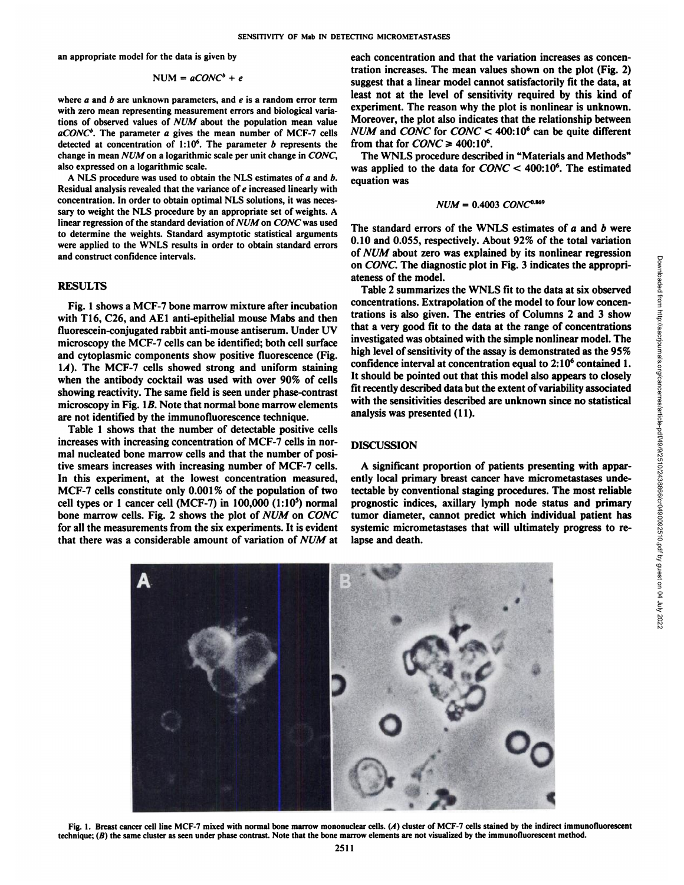an appropriate model for the data is given by

$$
NUM = aCONC^b + e
$$

where  $a$  and  $b$  are unknown parameters, and  $e$  is a random error term with zero mean representing measurement errors and biological varia tions of observed values of NUM about the population mean value *aCONC0. The parameter a gives the mean number of MCF-7 cells* detected at concentration of  $1:10<sup>6</sup>$ . The parameter b represents the change in mean NUM on a logarithmic scale per unit change in CONC, also expressed on a logarithmic scale.

A NLS procedure was used to obtain the NLS estimates of  $a$  and  $b$ . Residual analysis revealed that the variance of e increased linearly with concentration. In order to obtain optimal NLS solutions, it was neces sary to weight the NLS procedure by an appropriate set of weights. A linear regression of the standard deviation of NUM on CONC was used to determine the weights. Standard asymptotic statistical arguments were applied to the WNLS results in order to obtain standard errors and construct confidence intervals.

#### RESULTS

Fig. 1 shows a MCF-7 bone marrow mixture after incubation with T16, C26, and AE1 anti-epithelial mouse Mabs and then fluorescein-conjugated rabbit anti-mouse antiserum. Under UV microscopy the MCF-7 cells can be identified; both cell surface and cytoplasmic components show positive fluorescence (Fig. *IA). The MCF-7 cells showed strong and uniform staining* when the antibody cocktail was used with over 90% of cells showing reactivity. The same field is seen under phase-contrast microscopy in Fig. IB. Note that normal bone marrow elements are not identified by the immunofluorescence technique.

Table 1 shows that the number of detectable positive cells increases with increasing concentration of MCF-7 cells in nor mal nucleated bone marrow cells and that the number of posi tive smears increases with increasing number of MCF-7 cells. In this experiment, at the lowest concentration measured, MCF-7 cells constitute only 0.001% of the population of two cell types or 1 cancer cell (MCF-7) in  $100,000$  (1:10<sup>5</sup>) normal bone marrow cells. Fig. 2 shows the plot of NUM on CONC for all the measurements from the six experiments. It is evident that there was a considerable amount of variation of NUM at

each concentration and that the variation increases as concen tration increases. The mean values shown on the plot (Fig. 2) suggest that a linear model cannot satisfactorily fit the data, at least not at the level of sensitivity required by this kind of experiment. The reason why the plot is nonlinear is unknown. Moreover, the plot also indicates that the relationship between *NUM and CONC for CONC < 400:IO6 can be quite different* from that for  $CONC \geq 400:10^6$ .

The WNLS procedure described in "Materials and Methods" was applied to the data for  $CONC < 400:10^6$ . The estimated equation was

$$
NUM = 0.4003 \; CONC0.869
$$

The standard errors of the WNLS estimates of  $a$  and  $b$  were 0.10 and 0.055, respectively. About 92% of the total variation on CONC. The diagnostic plot in Fig. 3 indicates the appropri ateness of the model.

of *NUM* about zero was explained by its nonlinear regression<br>on *CONC.* The diagnostic plot in Fig. 3 indicates the appropriateness of the model.<br>Table 2 summarizes the WNLS fit to the data at six observed<br>concentrations Table 2 summarizes the WNLS fit to the data at six observed concentrations. Extrapolation of the model to four low concen trations is also given. The entries of Columns 2 and 3 show that a very good fit to the data at the range of concentrations investigated was obtained with the simple nonlinear model. The high level of sensitivity of the assay is demonstrated as the 95% confidence interval at concentration equal to  $2:10<sup>6</sup>$  contained 1. It should be pointed out that this model also appears to closely fit recently described data but the extent of variability associated with the sensitivities described are unknown since no statistical analysis was presented (11).

#### DISCUSSION

A significant proportion of patients presenting with appar ently local primary breast cancer have micrometastases undetectable by conventional staging procedures. The most reliable prognostic indices, axillary lymph node status and primary tumor diameter, cannot predict which individual patient has systemic micrometastases that will ultimately progress to re lapse and death.



Fig. 1. Breast cancer cell line MCF-7 mixed with normal bone marrow mononuclear cells. (A) cluster of MCF-7 cells stained by the indirect immunofluorescent technique; (B) the same cluster as seen under phase contrast. Note that the bone marrow elements are not visualized by the immunofluorescent method.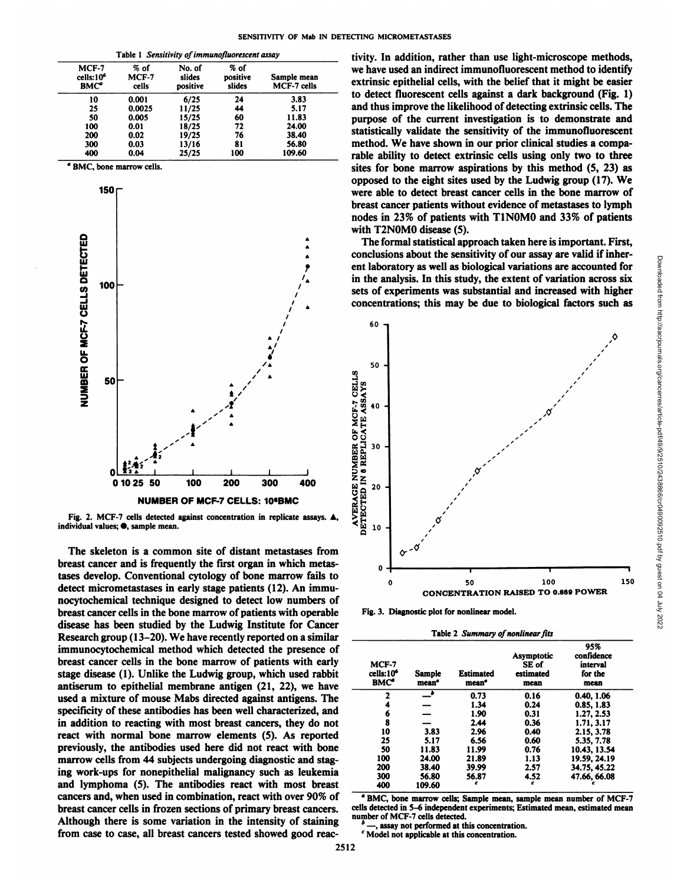| Table 1 Sensitivity of immunofluorescent assay     |                        |                              |                            |                            |  |  |
|----------------------------------------------------|------------------------|------------------------------|----------------------------|----------------------------|--|--|
| MCF-7<br>cells:10 <sup>6</sup><br>BMC <sup>a</sup> | % of<br>MCF-7<br>cells | No. of<br>slides<br>positive | % of<br>positive<br>slides | Sample mean<br>MCF-7 cells |  |  |
| 10                                                 | 0.001                  | 6/25                         | 24                         | 3.83                       |  |  |
| 25                                                 | 0.0025                 | 11/25                        | 44                         | 5.17                       |  |  |
| 50                                                 | 0.005                  | 15/25                        | 60                         | 11.83                      |  |  |
| 100                                                | 0.01                   | 18/25                        | 72                         | 24.00                      |  |  |
| 200                                                | 0.02                   | 19/25                        | 76                         | 38.40                      |  |  |
| 300                                                | 0.03                   | 13/16                        | 81                         | 56.80                      |  |  |
| 400                                                | 0.04                   | 25/25                        | 100                        | 109.60                     |  |  |

BMC, bone marrow cells.



Fig. 2. MCF-7 cells detected against concentration in replicate assays. individual values: . sample mean.

The skeleton is a common site of distant metastases from breast cancer and is frequently the first organ in which metastases develop. Conventional cytology of bone marrow fails to detect micrometastases in early stage patients (12). An immunocytochemical technique designed to detect low numbers of breast cancer cells in the bone marrow of patients with operable disease has been studied by the Ludwig Institute for Cancer Research group (13–20). We have recently reported on a similar immunocytochemical method which detected the presence of breast cancer cells in the bone marrow of patients with early stage disease (1). Unlike the Ludwig group, which used rabbit antiserum to epithelial membrane antigen (21, 22), we have used a mixture of mouse Mabs directed against antigens. The specificity of these antibodies has been well characterized, and in addition to reacting with most breast cancers, they do not react with normal bone marrow elements (5). As reported previously, the antibodies used here did not react with bone marrow cells from 44 subjects undergoing diagnostic and staging work-ups for nonepithelial malignancy such as leukemia and lymphoma (5). The antibodies react with most breast cancers and, when used in combination, react with over 90% of breast cancer cells in frozen sections of primary breast cancers. Although there is some variation in the intensity of staining from case to case, all breast cancers tested showed good reactivity. In addition, rather than use light-microscope methods, we have used an indirect immunofluorescent method to identify extrinsic epithelial cells, with the belief that it might be easier to detect fluorescent cells against a dark background (Fig. 1) and thus improve the likelihood of detecting extrinsic cells. The purpose of the current investigation is to demonstrate and statistically validate the sensitivity of the immunofluorescent method. We have shown in our prior clinical studies a comparable ability to detect extrinsic cells using only two to three sites for bone marrow aspirations by this method (5, 23) as opposed to the eight sites used by the Ludwig group (17). We were able to detect breast cancer cells in the bone marrow of breast cancer patients without evidence of metastases to lymph nodes in 23% of patients with T1N0M0 and 33% of patients with T2N0M0 disease (5).

The formal statistical approach taken here is important. First, conclusions about the sensitivity of our assay are valid if inherent laboratory as well as biological variations are accounted for in the analysis. In this study, the extent of variation across six sets of experiments was substantial and increased with higher concentrations; this may be due to biological factors such as



Fig. 3. Diagnostic plot for nonlinear model.

Table 2 Summary of nonlinear fits

| MCF-7<br>cells:10 <sup>6</sup><br>BMC <sup>2</sup> | <b>Sample</b><br>mean <sup>e</sup> | <b>Estimated</b><br>mean <sup>e</sup> | Asymptotic<br>SE of<br>estimated<br>mean | 95%<br>confidence<br>interval<br>for the<br>mean |
|----------------------------------------------------|------------------------------------|---------------------------------------|------------------------------------------|--------------------------------------------------|
| 2                                                  | _•                                 | 0.73                                  | 0.16                                     | 0.40, 1.06                                       |
| 4                                                  |                                    | 1.34                                  | 0.24                                     | 0.85, 1.83                                       |
| 6                                                  |                                    | 1.90                                  | 0.31                                     | 1.27, 2.53                                       |
| 8                                                  |                                    | 2.44                                  | 0.36                                     | 1.71, 3.17                                       |
| 10                                                 | 3.83                               | 2.96                                  | 0.40                                     | 2.15, 3.78                                       |
| 25                                                 | 5.17                               | 6.56                                  | 0.60                                     | 5.35, 7.78                                       |
| 50                                                 | 11.83                              | 11.99                                 | 0.76                                     | 10.43, 13.54                                     |
| 100                                                | 24.00                              | 21.89                                 | 1.13                                     | 19.59, 24.19                                     |
| 200                                                | 38.40                              | 39.99                                 | 2.57                                     | 34.75, 45.22                                     |
| 300                                                | 56.80                              | 56.87                                 | 4.52                                     | 47.66, 66.08                                     |
| 400                                                | 109.60                             | c                                     | c                                        |                                                  |

<sup>a</sup> BMC, bone marrow cells; Sample mean, sample mean number of MCF-7 cells detected in 5-6 independent experiments; Estimated mean, estimated mean number of MCF-7 cells detected.

assay not performed at this concentration.

<sup>c</sup> Model not applicable at this concentration.